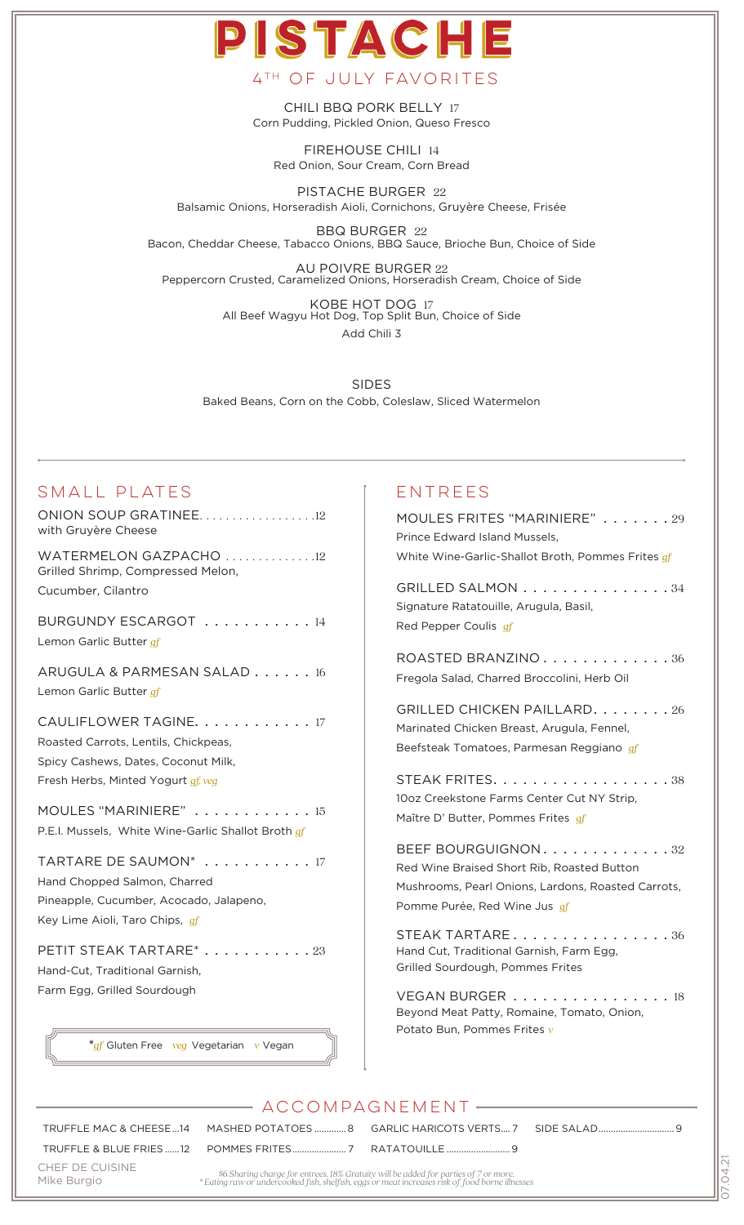CHILI BBQ PORK BELLY 17 Corn Pudding, Pickled Onion, Queso Fresco

4th of july favorites

PISTACI

FIREHOUSE CHILI 14 Red Onion, Sour Cream, Corn Bread

PISTACHE BURGER 22 Balsamic Onions, Horseradish Aioli, Cornichons, Gruyère Cheese, Frisée

BBQ BURGER 22 Bacon, Cheddar Cheese, Tabacco Onions, BBQ Sauce, Brioche Bun, Choice of Side

AU POIVRE BURGER 22 Peppercorn Crusted, Caramelized Onions, Horseradish Cream, Choice of Side

> KOBE HOT DOG 17 All Beef Wagyu Hot Dog, Top Split Bun, Choice of Side Add Chili 3

SIDES Baked Beans, Corn on the Cobb, Coleslaw, Sliced Watermelon

### Small Plates

ONION SOUP GRATINEE. . . . . . . . . . . . . . . . . 12 with Gruyère Cheese WATERMELON GAZPACHO ..............12 Grilled Shrimp, Compressed Melon, Cucumber, Cilantro BURGUNDY ESCARGOT . . . . . . . . . . . 14 Lemon Garlic Butter *gf* ARUGULA & PARMESAN SALAD . . . . . . 16 Lemon Garlic Butter *gf* CAULIFLOWER TAGINE. . . . . . . . . . . . 17 Roasted Carrots, Lentils, Chickpeas, Spicy Cashews, Dates, Coconut Milk, Fresh Herbs, Minted Yogurt *gf, veg* MOULES "MARINIERE" . . . . . . . . . . . . 15 P.E.I. Mussels, White Wine-Garlic Shallot Broth *gf* TARTARE DE SAUMON<sup>\*</sup> . . . . . . . . . . . 17 Hand Chopped Salmon, Charred Pineapple, Cucumber, Acocado, Jalapeno, Key Lime Aioli, Taro Chips, *gf* PETIT STEAK TARTARE<sup>\*</sup> . . . . . . . . . . . 23 Hand-Cut, Traditional Garnish, Farm Egg, Grilled Sourdough

**\****gf* Gluten Free *veg* Vegetarian *v* Vegan

## **ENTREES**

| MOULES FRITES "MARINIERE" 29<br>Prince Edward Island Mussels,<br>White Wine-Garlic-Shallot Broth, Pommes Frites gf                                           |  |
|--------------------------------------------------------------------------------------------------------------------------------------------------------------|--|
| GRILLED SALMON<br>. . 34<br>Signature Ratatouille, Arugula, Basil,<br>Red Pepper Coulis gf                                                                   |  |
| ROASTED BRANZINO<br>. 36<br>Fregola Salad, Charred Broccolini, Herb Oil                                                                                      |  |
| GRILLED CHICKEN PAILLARD. 26<br>Marinated Chicken Breast, Arugula, Fennel,<br>Beefsteak Tomatoes, Parmesan Reggiano gf                                       |  |
| STEAK FRITES.<br>-38<br>10oz Creekstone Farms Center Cut NY Strip,<br>Maître D' Butter, Pommes Frites gf                                                     |  |
| BEEF BOURGUIGNON<br>. 32<br>Red Wine Braised Short Rib, Roasted Button<br>Mushrooms, Pearl Onions, Lardons, Roasted Carrots,<br>Pomme Purée, Red Wine Jus gf |  |
| STEAK TARTARE<br>. 36<br>Hand Cut, Traditional Garnish, Farm Egg,<br>Grilled Sourdough, Pommes Frites                                                        |  |
| VEGAN BURGER<br>18<br>$\mathcal{L}$<br>Beyond Meat Patty, Romaine, Tomato, Onion,<br>Potato Bun, Pommes Frites v                                             |  |
|                                                                                                                                                              |  |

### accompagnement

TRUFFLE & BLUE FRIES ......12 POMMES FRITES...................... 7 RATATOUILLE ..........................9

TRUFFLE MAC & CHEESE...14 MASHED POTATOES ............. 8 GARLIC HARICOTS VERTS.... 7

SIDE SALAD...............................9

CHEF DE CUISINE Mike Burgio

*\$6 Sharing charge for entrees. 18% Gratuity will be added for parties of 7 or more. \* Eating raw or undercooked fish, shelfish, eggs or meat increases risk of food borne illnesses*